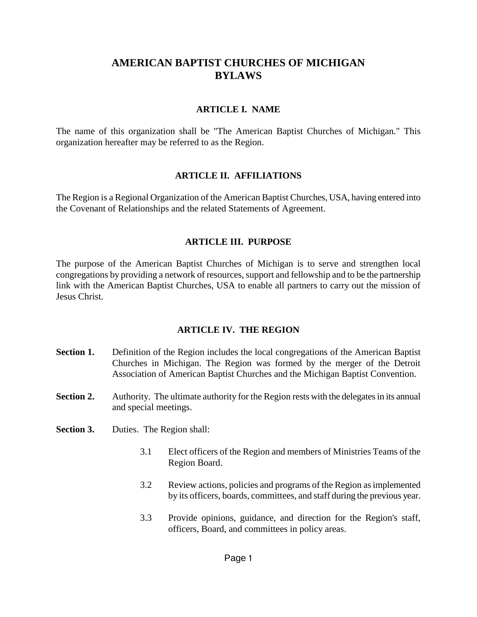# **AMERICAN BAPTIST CHURCHES OF MICHIGAN BYLAWS**

#### **ARTICLE I. NAME**

The name of this organization shall be "The American Baptist Churches of Michigan." This organization hereafter may be referred to as the Region.

## **ARTICLE II. AFFILIATIONS**

The Region is a Regional Organization of the American Baptist Churches, USA, having entered into the Covenant of Relationships and the related Statements of Agreement.

### **ARTICLE III. PURPOSE**

The purpose of the American Baptist Churches of Michigan is to serve and strengthen local congregations by providing a network of resources, support and fellowship and to be the partnership link with the American Baptist Churches, USA to enable all partners to carry out the mission of Jesus Christ.

### **ARTICLE IV. THE REGION**

- **Section 1.** Definition of the Region includes the local congregations of the American Baptist Churches in Michigan. The Region was formed by the merger of the Detroit Association of American Baptist Churches and the Michigan Baptist Convention.
- **Section 2.** Authority. The ultimate authority for the Region rests with the delegates in its annual and special meetings.
- **Section 3.** Duties. The Region shall:
	- 3.1 Elect officers of the Region and members of Ministries Teams of the Region Board.
	- 3.2 Review actions, policies and programs of the Region as implemented by its officers, boards, committees, and staff during the previous year.
	- 3.3 Provide opinions, guidance, and direction for the Region's staff, officers, Board, and committees in policy areas.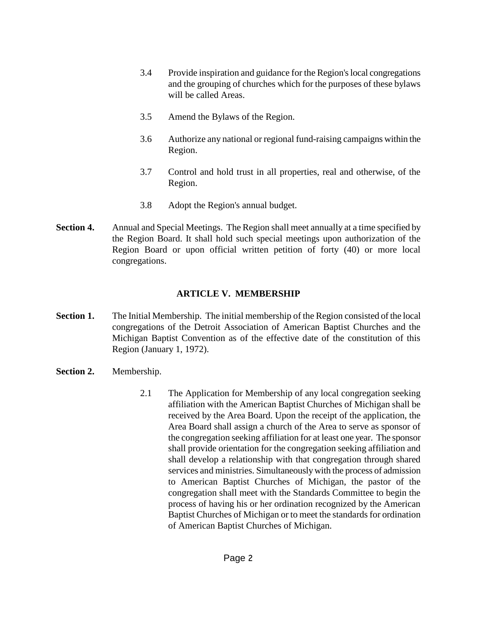- 3.4 Provide inspiration and guidance for the Region's local congregations and the grouping of churches which for the purposes of these bylaws will be called Areas.
- 3.5 Amend the Bylaws of the Region.
- 3.6 Authorize any national or regional fund-raising campaigns within the Region.
- 3.7 Control and hold trust in all properties, real and otherwise, of the Region.
- 3.8 Adopt the Region's annual budget.
- **Section 4.** Annual and Special Meetings. The Region shall meet annually at a time specified by the Region Board. It shall hold such special meetings upon authorization of the Region Board or upon official written petition of forty (40) or more local congregations.

## **ARTICLE V. MEMBERSHIP**

- **Section 1.** The Initial Membership. The initial membership of the Region consisted of the local congregations of the Detroit Association of American Baptist Churches and the Michigan Baptist Convention as of the effective date of the constitution of this Region (January 1, 1972).
- **Section 2.** Membership.
	- 2.1 The Application for Membership of any local congregation seeking affiliation with the American Baptist Churches of Michigan shall be received by the Area Board. Upon the receipt of the application, the Area Board shall assign a church of the Area to serve as sponsor of the congregation seeking affiliation for at least one year. The sponsor shall provide orientation for the congregation seeking affiliation and shall develop a relationship with that congregation through shared services and ministries. Simultaneously with the process of admission to American Baptist Churches of Michigan, the pastor of the congregation shall meet with the Standards Committee to begin the process of having his or her ordination recognized by the American Baptist Churches of Michigan or to meet the standards for ordination of American Baptist Churches of Michigan.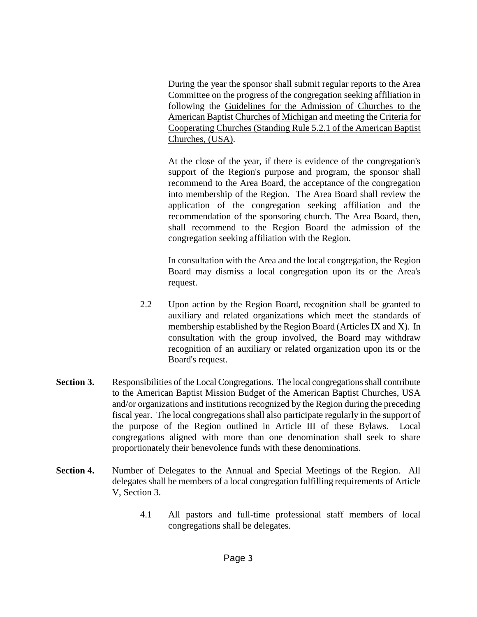During the year the sponsor shall submit regular reports to the Area Committee on the progress of the congregation seeking affiliation in following the Guidelines for the Admission of Churches to the American Baptist Churches of Michigan and meeting the Criteria for Cooperating Churches (Standing Rule 5.2.1 of the American Baptist Churches, (USA).

At the close of the year, if there is evidence of the congregation's support of the Region's purpose and program, the sponsor shall recommend to the Area Board, the acceptance of the congregation into membership of the Region. The Area Board shall review the application of the congregation seeking affiliation and the recommendation of the sponsoring church. The Area Board, then, shall recommend to the Region Board the admission of the congregation seeking affiliation with the Region.

In consultation with the Area and the local congregation, the Region Board may dismiss a local congregation upon its or the Area's request.

- 2.2 Upon action by the Region Board, recognition shall be granted to auxiliary and related organizations which meet the standards of membership established by the Region Board (Articles IX and X). In consultation with the group involved, the Board may withdraw recognition of an auxiliary or related organization upon its or the Board's request.
- Section 3. Responsibilities of the Local Congregations. The local congregations shall contribute to the American Baptist Mission Budget of the American Baptist Churches, USA and/or organizations and institutions recognized by the Region during the preceding fiscal year. The local congregations shall also participate regularly in the support of the purpose of the Region outlined in Article III of these Bylaws. Local congregations aligned with more than one denomination shall seek to share proportionately their benevolence funds with these denominations.
- **Section 4.** Number of Delegates to the Annual and Special Meetings of the Region. All delegates shall be members of a local congregation fulfilling requirements of Article V, Section 3.
	- 4.1 All pastors and full-time professional staff members of local congregations shall be delegates.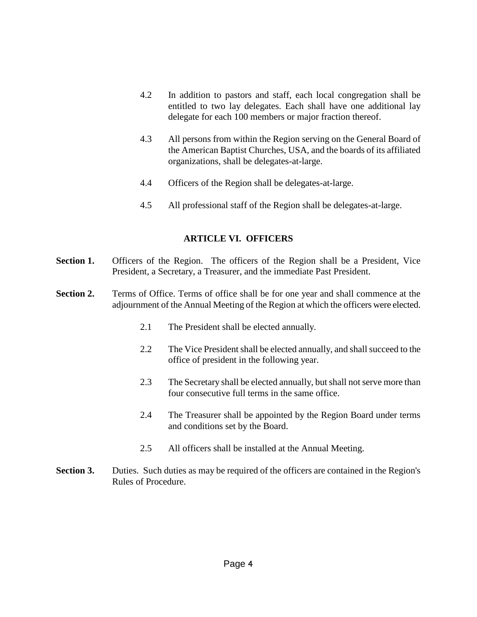- 4.2 In addition to pastors and staff, each local congregation shall be entitled to two lay delegates. Each shall have one additional lay delegate for each 100 members or major fraction thereof.
- 4.3 All persons from within the Region serving on the General Board of the American Baptist Churches, USA, and the boards of its affiliated organizations, shall be delegates-at-large.
- 4.4 Officers of the Region shall be delegates-at-large.
- 4.5 All professional staff of the Region shall be delegates-at-large.

#### **ARTICLE VI. OFFICERS**

- Section 1. Officers of the Region. The officers of the Region shall be a President, Vice President, a Secretary, a Treasurer, and the immediate Past President.
- **Section 2.** Terms of Office. Terms of office shall be for one year and shall commence at the adjournment of the Annual Meeting of the Region at which the officers were elected.
	- 2.1 The President shall be elected annually.
	- 2.2 The Vice President shall be elected annually, and shall succeed to the office of president in the following year.
	- 2.3 The Secretary shall be elected annually, but shall not serve more than four consecutive full terms in the same office.
	- 2.4 The Treasurer shall be appointed by the Region Board under terms and conditions set by the Board.
	- 2.5 All officers shall be installed at the Annual Meeting.
- **Section 3.** Duties. Such duties as may be required of the officers are contained in the Region's Rules of Procedure.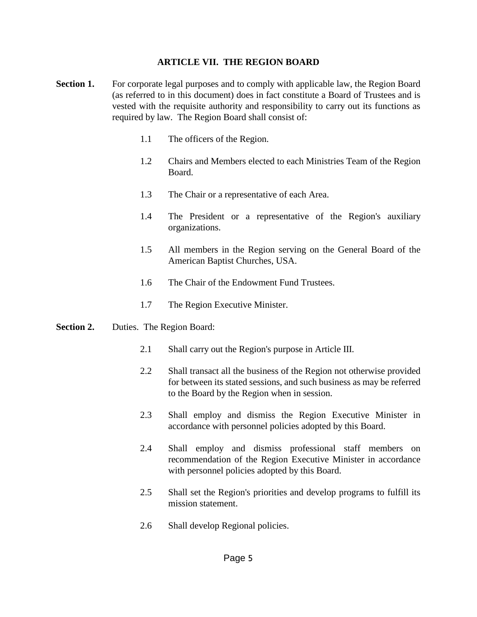#### **ARTICLE VII. THE REGION BOARD**

- **Section 1.** For corporate legal purposes and to comply with applicable law, the Region Board (as referred to in this document) does in fact constitute a Board of Trustees and is vested with the requisite authority and responsibility to carry out its functions as required by law. The Region Board shall consist of:
	- 1.1 The officers of the Region.
	- 1.2 Chairs and Members elected to each Ministries Team of the Region Board.
	- 1.3 The Chair or a representative of each Area.
	- 1.4 The President or a representative of the Region's auxiliary organizations.
	- 1.5 All members in the Region serving on the General Board of the American Baptist Churches, USA.
	- 1.6 The Chair of the Endowment Fund Trustees.
	- 1.7 The Region Executive Minister.
- **Section 2.** Duties. The Region Board:
	- 2.1 Shall carry out the Region's purpose in Article III.
	- 2.2 Shall transact all the business of the Region not otherwise provided for between its stated sessions, and such business as may be referred to the Board by the Region when in session.
	- 2.3 Shall employ and dismiss the Region Executive Minister in accordance with personnel policies adopted by this Board.
	- 2.4 Shall employ and dismiss professional staff members on recommendation of the Region Executive Minister in accordance with personnel policies adopted by this Board.
	- 2.5 Shall set the Region's priorities and develop programs to fulfill its mission statement.
	- 2.6 Shall develop Regional policies.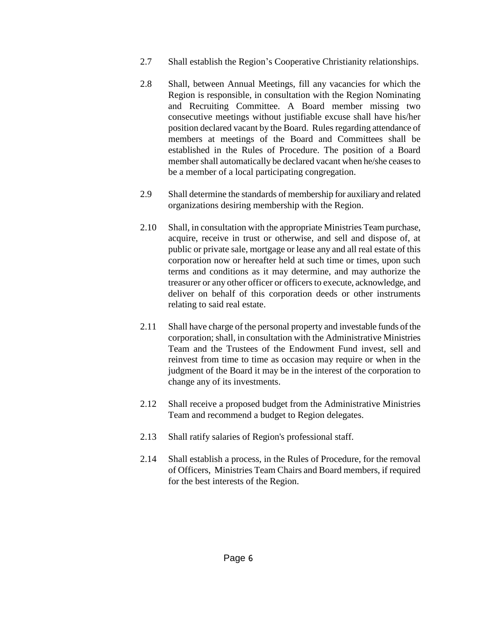- 2.7 Shall establish the Region's Cooperative Christianity relationships.
- 2.8 Shall, between Annual Meetings, fill any vacancies for which the Region is responsible, in consultation with the Region Nominating and Recruiting Committee. A Board member missing two consecutive meetings without justifiable excuse shall have his/her position declared vacant by the Board. Rules regarding attendance of members at meetings of the Board and Committees shall be established in the Rules of Procedure. The position of a Board member shall automatically be declared vacant when he/she ceases to be a member of a local participating congregation.
- 2.9 Shall determine the standards of membership for auxiliary and related organizations desiring membership with the Region.
- 2.10 Shall, in consultation with the appropriate Ministries Team purchase, acquire, receive in trust or otherwise, and sell and dispose of, at public or private sale, mortgage or lease any and all real estate of this corporation now or hereafter held at such time or times, upon such terms and conditions as it may determine, and may authorize the treasurer or any other officer or officers to execute, acknowledge, and deliver on behalf of this corporation deeds or other instruments relating to said real estate.
- 2.11 Shall have charge of the personal property and investable funds of the corporation; shall, in consultation with the Administrative Ministries Team and the Trustees of the Endowment Fund invest, sell and reinvest from time to time as occasion may require or when in the judgment of the Board it may be in the interest of the corporation to change any of its investments.
- 2.12 Shall receive a proposed budget from the Administrative Ministries Team and recommend a budget to Region delegates.
- 2.13 Shall ratify salaries of Region's professional staff.
- 2.14 Shall establish a process, in the Rules of Procedure, for the removal of Officers, Ministries Team Chairs and Board members, if required for the best interests of the Region.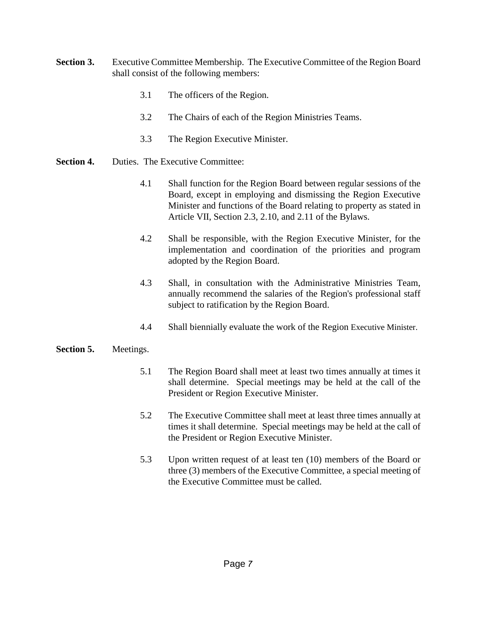- **Section 3.** Executive Committee Membership. The Executive Committee of the Region Board shall consist of the following members:
	- 3.1 The officers of the Region.
	- 3.2 The Chairs of each of the Region Ministries Teams.
	- 3.3 The Region Executive Minister.
- **Section 4.** Duties. The Executive Committee:
	- 4.1 Shall function for the Region Board between regular sessions of the Board, except in employing and dismissing the Region Executive Minister and functions of the Board relating to property as stated in Article VII, Section 2.3, 2.10, and 2.11 of the Bylaws.
	- 4.2 Shall be responsible, with the Region Executive Minister, for the implementation and coordination of the priorities and program adopted by the Region Board.
	- 4.3 Shall, in consultation with the Administrative Ministries Team, annually recommend the salaries of the Region's professional staff subject to ratification by the Region Board.
	- 4.4 Shall biennially evaluate the work of the Region Executive Minister.

### **Section 5.** Meetings.

- 5.1 The Region Board shall meet at least two times annually at times it shall determine. Special meetings may be held at the call of the President or Region Executive Minister.
- 5.2 The Executive Committee shall meet at least three times annually at times it shall determine. Special meetings may be held at the call of the President or Region Executive Minister.
- 5.3 Upon written request of at least ten (10) members of the Board or three (3) members of the Executive Committee, a special meeting of the Executive Committee must be called.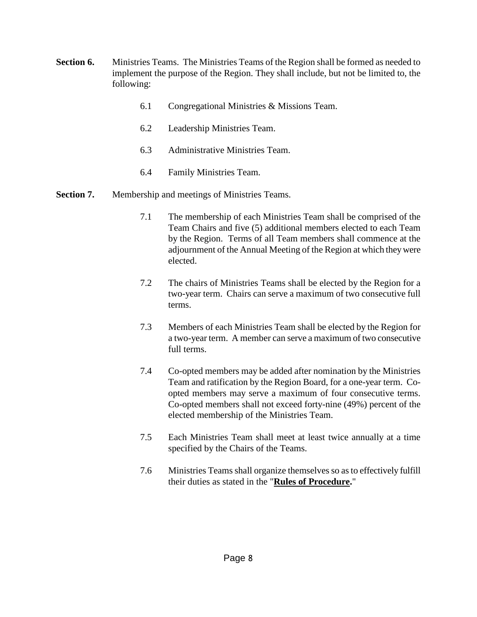- **Section 6.** Ministries Teams. The Ministries Teams of the Region shall be formed as needed to implement the purpose of the Region. They shall include, but not be limited to, the following:
	- 6.1 Congregational Ministries & Missions Team.
	- 6.2 Leadership Ministries Team.
	- 6.3 Administrative Ministries Team.
	- 6.4 Family Ministries Team.
- **Section 7.** Membership and meetings of Ministries Teams.
	- 7.1 The membership of each Ministries Team shall be comprised of the Team Chairs and five (5) additional members elected to each Team by the Region. Terms of all Team members shall commence at the adjournment of the Annual Meeting of the Region at which they were elected.
	- 7.2 The chairs of Ministries Teams shall be elected by the Region for a two-year term. Chairs can serve a maximum of two consecutive full terms.
	- 7.3 Members of each Ministries Team shall be elected by the Region for a two-year term. A member can serve a maximum of two consecutive full terms.
	- 7.4 Co-opted members may be added after nomination by the Ministries Team and ratification by the Region Board, for a one-year term. Coopted members may serve a maximum of four consecutive terms. Co-opted members shall not exceed forty-nine (49%) percent of the elected membership of the Ministries Team.
	- 7.5 Each Ministries Team shall meet at least twice annually at a time specified by the Chairs of the Teams.
	- 7.6 Ministries Teams shall organize themselves so as to effectively fulfill their duties as stated in the "**Rules of Procedure.**"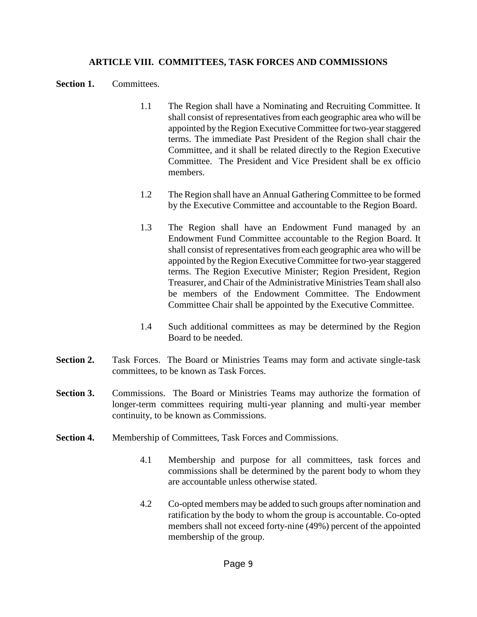#### **ARTICLE VIII. COMMITTEES, TASK FORCES AND COMMISSIONS**

#### **Section 1.** Committees.

- 1.1 The Region shall have a Nominating and Recruiting Committee. It shall consist of representatives from each geographic area who will be appointed by the Region Executive Committee for two-year staggered terms. The immediate Past President of the Region shall chair the Committee, and it shall be related directly to the Region Executive Committee. The President and Vice President shall be ex officio members.
- 1.2 The Region shall have an Annual Gathering Committee to be formed by the Executive Committee and accountable to the Region Board.
- 1.3 The Region shall have an Endowment Fund managed by an Endowment Fund Committee accountable to the Region Board. It shall consist of representatives from each geographic area who will be appointed by the Region Executive Committee for two-year staggered terms. The Region Executive Minister; Region President, Region Treasurer, and Chair of the Administrative Ministries Team shall also be members of the Endowment Committee. The Endowment Committee Chair shall be appointed by the Executive Committee.
- 1.4 Such additional committees as may be determined by the Region Board to be needed.
- **Section 2.** Task Forces. The Board or Ministries Teams may form and activate single-task committees, to be known as Task Forces.
- **Section 3.** Commissions. The Board or Ministries Teams may authorize the formation of longer-term committees requiring multi-year planning and multi-year member continuity, to be known as Commissions.
- **Section 4.** Membership of Committees, Task Forces and Commissions.
	- 4.1 Membership and purpose for all committees, task forces and commissions shall be determined by the parent body to whom they are accountable unless otherwise stated.
	- 4.2 Co-opted members may be added to such groups after nomination and ratification by the body to whom the group is accountable. Co-opted members shall not exceed forty-nine (49%) percent of the appointed membership of the group.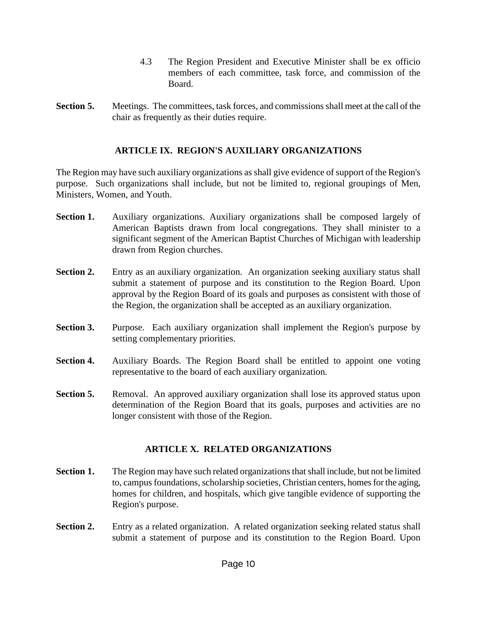- 4.3 The Region President and Executive Minister shall be ex officio members of each committee, task force, and commission of the Board.
- **Section 5.** Meetings. The committees, task forces, and commissions shall meet at the call of the chair as frequently as their duties require.

## **ARTICLE IX. REGION'S AUXILIARY ORGANIZATIONS**

The Region may have such auxiliary organizations as shall give evidence of support of the Region's purpose. Such organizations shall include, but not be limited to, regional groupings of Men, Ministers, Women, and Youth.

- **Section 1.** Auxiliary organizations. Auxiliary organizations shall be composed largely of American Baptists drawn from local congregations. They shall minister to a significant segment of the American Baptist Churches of Michigan with leadership drawn from Region churches.
- **Section 2.** Entry as an auxiliary organization. An organization seeking auxiliary status shall submit a statement of purpose and its constitution to the Region Board. Upon approval by the Region Board of its goals and purposes as consistent with those of the Region, the organization shall be accepted as an auxiliary organization.
- **Section 3.** Purpose. Each auxiliary organization shall implement the Region's purpose by setting complementary priorities.
- **Section 4.** Auxiliary Boards. The Region Board shall be entitled to appoint one voting representative to the board of each auxiliary organization.
- **Section 5.** Removal. An approved auxiliary organization shall lose its approved status upon determination of the Region Board that its goals, purposes and activities are no longer consistent with those of the Region.

### **ARTICLE X. RELATED ORGANIZATIONS**

- **Section 1.** The Region may have such related organizations that shall include, but not be limited to, campus foundations, scholarship societies, Christian centers, homes for the aging, homes for children, and hospitals, which give tangible evidence of supporting the Region's purpose.
- **Section 2.** Entry as a related organization. A related organization seeking related status shall submit a statement of purpose and its constitution to the Region Board. Upon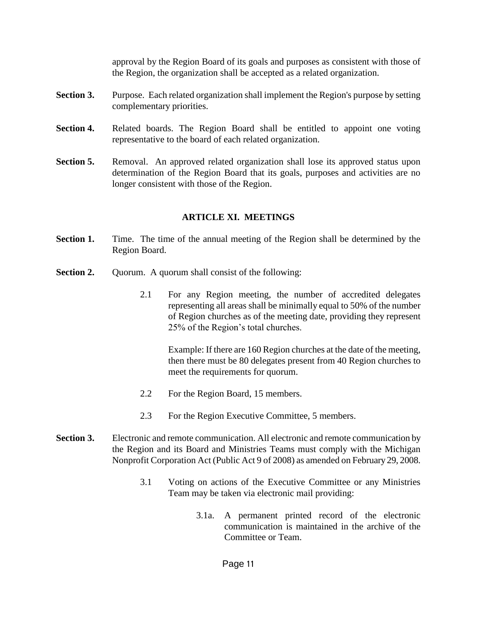approval by the Region Board of its goals and purposes as consistent with those of the Region, the organization shall be accepted as a related organization.

- **Section 3.** Purpose. Each related organization shall implement the Region's purpose by setting complementary priorities.
- **Section 4.** Related boards. The Region Board shall be entitled to appoint one voting representative to the board of each related organization.
- **Section 5.** Removal. An approved related organization shall lose its approved status upon determination of the Region Board that its goals, purposes and activities are no longer consistent with those of the Region.

#### **ARTICLE XI. MEETINGS**

- **Section 1.** Time. The time of the annual meeting of the Region shall be determined by the Region Board.
- **Section 2.** Quorum. A quorum shall consist of the following:
	- 2.1 For any Region meeting, the number of accredited delegates representing all areas shall be minimally equal to 50% of the number of Region churches as of the meeting date, providing they represent 25% of the Region's total churches.

Example: If there are 160 Region churches at the date of the meeting, then there must be 80 delegates present from 40 Region churches to meet the requirements for quorum.

- 2.2 For the Region Board, 15 members.
- 2.3 For the Region Executive Committee, 5 members.
- **Section 3.** Electronic and remote communication. All electronic and remote communication by the Region and its Board and Ministries Teams must comply with the Michigan Nonprofit Corporation Act (Public Act 9 of 2008) as amended on February 29, 2008.
	- 3.1 Voting on actions of the Executive Committee or any Ministries Team may be taken via electronic mail providing:
		- 3.1a. A permanent printed record of the electronic communication is maintained in the archive of the Committee or Team.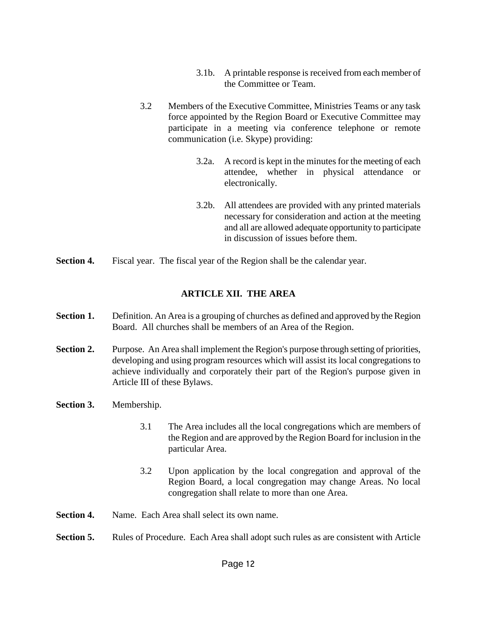- 3.1b. A printable response is received from each member of the Committee or Team.
- 3.2 Members of the Executive Committee, Ministries Teams or any task force appointed by the Region Board or Executive Committee may participate in a meeting via conference telephone or remote communication (i.e. Skype) providing:
	- 3.2a. A record is kept in the minutes for the meeting of each attendee, whether in physical attendance or electronically.
	- 3.2b. All attendees are provided with any printed materials necessary for consideration and action at the meeting and all are allowed adequate opportunity to participate in discussion of issues before them.
- **Section 4.** Fiscal year. The fiscal year of the Region shall be the calendar year.

## **ARTICLE XII. THE AREA**

- **Section 1.** Definition. An Area is a grouping of churches as defined and approved by the Region Board. All churches shall be members of an Area of the Region.
- **Section 2.** Purpose. An Area shall implement the Region's purpose through setting of priorities, developing and using program resources which will assist its local congregations to achieve individually and corporately their part of the Region's purpose given in Article III of these Bylaws.
- **Section 3.** Membership.
	- 3.1 The Area includes all the local congregations which are members of the Region and are approved by the Region Board for inclusion in the particular Area.
	- 3.2 Upon application by the local congregation and approval of the Region Board, a local congregation may change Areas. No local congregation shall relate to more than one Area.
- **Section 4.** Name. Each Area shall select its own name.
- **Section 5.** Rules of Procedure. Each Area shall adopt such rules as are consistent with Article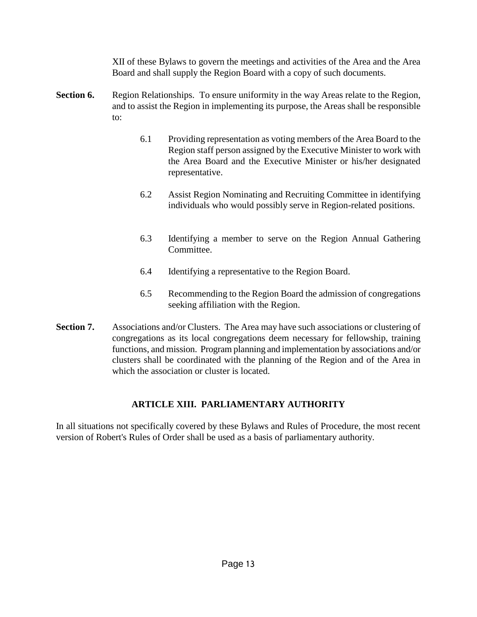XII of these Bylaws to govern the meetings and activities of the Area and the Area Board and shall supply the Region Board with a copy of such documents.

- **Section 6.** Region Relationships. To ensure uniformity in the way Areas relate to the Region, and to assist the Region in implementing its purpose, the Areas shall be responsible to:
	- 6.1 Providing representation as voting members of the Area Board to the Region staff person assigned by the Executive Minister to work with the Area Board and the Executive Minister or his/her designated representative.
	- 6.2 Assist Region Nominating and Recruiting Committee in identifying individuals who would possibly serve in Region-related positions.
	- 6.3 Identifying a member to serve on the Region Annual Gathering Committee.
	- 6.4 Identifying a representative to the Region Board.
	- 6.5 Recommending to the Region Board the admission of congregations seeking affiliation with the Region.
- **Section 7.** Associations and/or Clusters. The Area may have such associations or clustering of congregations as its local congregations deem necessary for fellowship, training functions, and mission. Program planning and implementation by associations and/or clusters shall be coordinated with the planning of the Region and of the Area in which the association or cluster is located.

## **ARTICLE XIII. PARLIAMENTARY AUTHORITY**

In all situations not specifically covered by these Bylaws and Rules of Procedure, the most recent version of Robert's Rules of Order shall be used as a basis of parliamentary authority.